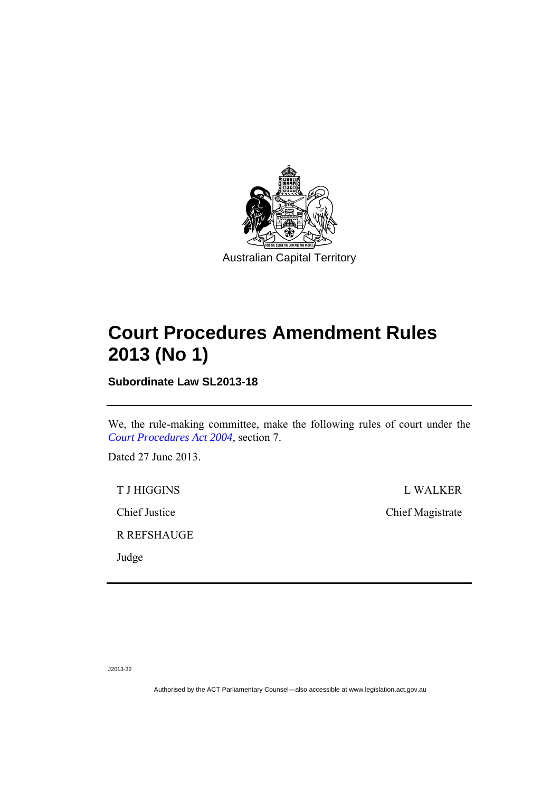

# **Court Procedures Amendment Rules 2013 (No 1)**

**Subordinate Law SL2013-18** 

We, the rule-making committee, make the following rules of court under the *[Court Procedures Act 2004](http://www.legislation.act.gov.au/a/2004-59)*, section 7.

Dated 27 June 2013.

R REFSHAUGE

Judge

T J HIGGINS L WALKER Chief Justice Chief Magistrate

J2013-32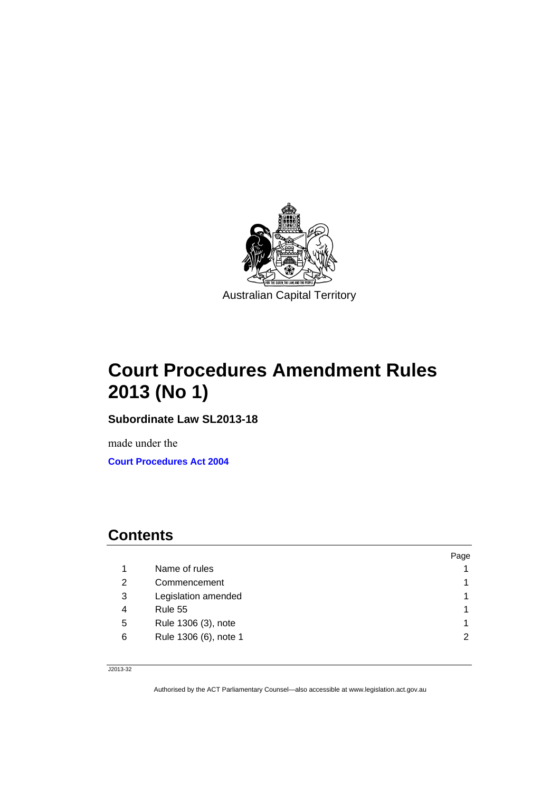

# **Court Procedures Amendment Rules 2013 (No 1)**

**Subordinate Law SL2013-18** 

made under the **[Court Procedures Act 2004](http://www.legislation.act.gov.au/a/2004-59/default.asp)**

### **Contents**

|   |                       | Page |
|---|-----------------------|------|
|   | Name of rules         |      |
| 2 | Commencement          |      |
| 3 | Legislation amended   |      |
| 4 | Rule 55               |      |
| 5 | Rule 1306 (3), note   |      |
| 6 | Rule 1306 (6), note 1 | 2    |

J2013-32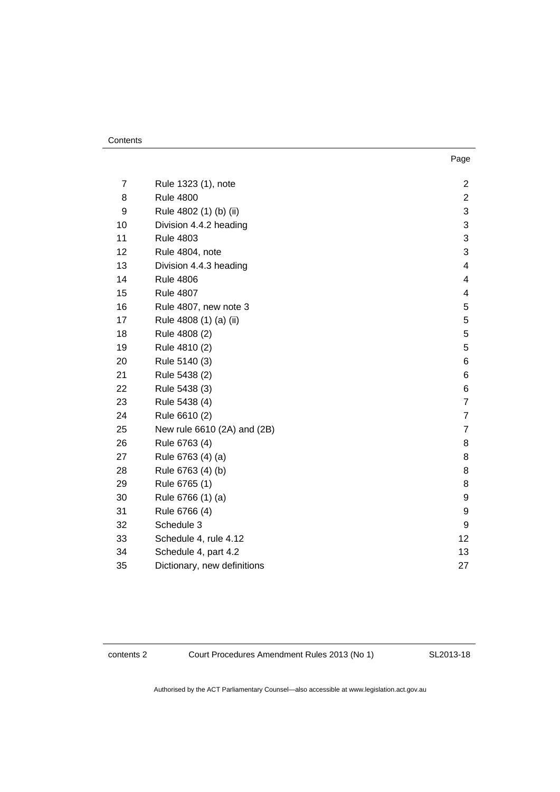| ٠<br>× | × | ۰. |
|--------|---|----|

| 7  | Rule 1323 (1), note         | $\overline{c}$           |
|----|-----------------------------|--------------------------|
| 8  | <b>Rule 4800</b>            | $\overline{2}$           |
| 9  | Rule 4802 (1) (b) (ii)      | 3                        |
| 10 | Division 4.4.2 heading      | 3                        |
| 11 | <b>Rule 4803</b>            | 3                        |
| 12 | Rule 4804, note             | 3                        |
| 13 | Division 4.4.3 heading      | 4                        |
| 14 | <b>Rule 4806</b>            | $\overline{\mathcal{A}}$ |
| 15 | <b>Rule 4807</b>            | 4                        |
| 16 | Rule 4807, new note 3       | 5                        |
| 17 | Rule 4808 (1) (a) (ii)      | 5                        |
| 18 | Rule 4808 (2)               | 5                        |
| 19 | Rule 4810 (2)               | 5                        |
| 20 | Rule 5140 (3)               | 6                        |
| 21 | Rule 5438 (2)               | 6                        |
| 22 | Rule 5438 (3)               | 6                        |
| 23 | Rule 5438 (4)               | $\overline{7}$           |
| 24 | Rule 6610 (2)               | $\overline{7}$           |
| 25 | New rule 6610 (2A) and (2B) | $\overline{7}$           |
| 26 | Rule 6763 (4)               | 8                        |
| 27 | Rule 6763 (4) (a)           | 8                        |
| 28 | Rule 6763 (4) (b)           | 8                        |
| 29 | Rule 6765 (1)               | 8                        |
| 30 | Rule 6766 (1) (a)           | 9                        |
| 31 | Rule 6766 (4)               | 9                        |
| 32 | Schedule 3                  | 9                        |
| 33 | Schedule 4, rule 4.12       | 12                       |
| 34 | Schedule 4, part 4.2        | 13                       |
| 35 | Dictionary, new definitions | 27                       |

contents 2 Court Procedures Amendment Rules 2013 (No 1)

SL2013-18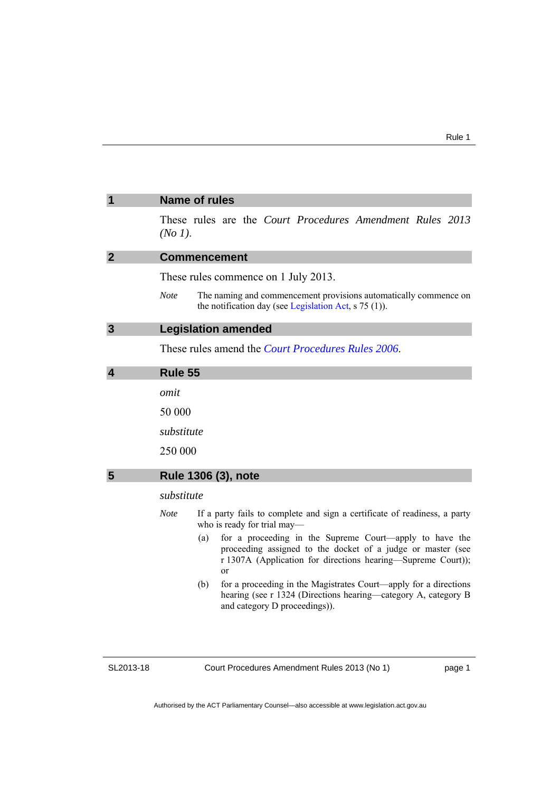<span id="page-4-3"></span><span id="page-4-2"></span><span id="page-4-1"></span><span id="page-4-0"></span>

| 1                | <b>Name of rules</b>                                                                                                                                                                                           |  |  |
|------------------|----------------------------------------------------------------------------------------------------------------------------------------------------------------------------------------------------------------|--|--|
|                  | These rules are the Court Procedures Amendment Rules 2013<br>$(No 1)$ .                                                                                                                                        |  |  |
| $\overline{2}$   | <b>Commencement</b>                                                                                                                                                                                            |  |  |
|                  | These rules commence on 1 July 2013.                                                                                                                                                                           |  |  |
|                  | <b>Note</b><br>The naming and commencement provisions automatically commence on<br>the notification day (see Legislation Act, $s$ 75 (1)).                                                                     |  |  |
| $\mathbf{3}$     | <b>Legislation amended</b>                                                                                                                                                                                     |  |  |
|                  | These rules amend the <i>Court Procedures Rules</i> 2006.                                                                                                                                                      |  |  |
| $\boldsymbol{4}$ | Rule 55                                                                                                                                                                                                        |  |  |
|                  | omit                                                                                                                                                                                                           |  |  |
|                  | 50 000                                                                                                                                                                                                         |  |  |
|                  | substitute                                                                                                                                                                                                     |  |  |
|                  | 250 000                                                                                                                                                                                                        |  |  |
| 5                | Rule 1306 (3), note                                                                                                                                                                                            |  |  |
|                  | substitute                                                                                                                                                                                                     |  |  |
|                  | <b>Note</b><br>If a party fails to complete and sign a certificate of readiness, a party<br>who is ready for trial may-                                                                                        |  |  |
|                  | for a proceeding in the Supreme Court—apply to have the<br>(a)<br>proceeding assigned to the docket of a judge or master (see<br>r 1307A (Application for directions hearing-Supreme Court));<br><sub>or</sub> |  |  |
|                  | for a proceeding in the Magistrates Court—apply for a directions<br>(b)<br>hearing (see r 1324 (Directions hearing—category A, category B<br>and category D proceedings)).                                     |  |  |
|                  |                                                                                                                                                                                                                |  |  |

<span id="page-4-4"></span>Court Procedures Amendment Rules 2013 (No 1)

page 1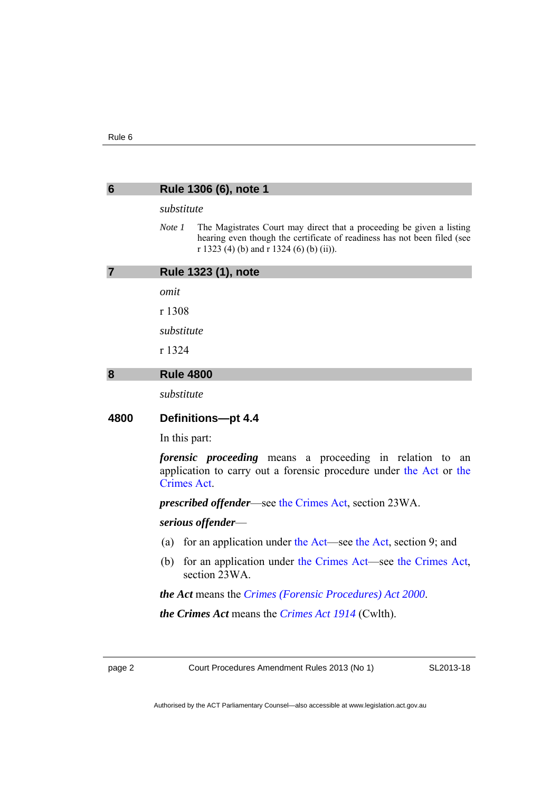<span id="page-5-2"></span><span id="page-5-1"></span><span id="page-5-0"></span>

| substitute<br>Note 1<br>The Magistrates Court may direct that a proceeding be given a listing<br>hearing even though the certificate of readiness has not been filed (see<br>r 1323 (4) (b) and r 1324 (6) (b) (ii)).<br>Rule 1323 (1), note<br>r 1308<br>substitute<br>r 1324<br><b>Rule 4800</b><br>substitute<br>Definitions-pt 4.4 |  |                                                              |
|----------------------------------------------------------------------------------------------------------------------------------------------------------------------------------------------------------------------------------------------------------------------------------------------------------------------------------------|--|--------------------------------------------------------------|
|                                                                                                                                                                                                                                                                                                                                        |  |                                                              |
|                                                                                                                                                                                                                                                                                                                                        |  |                                                              |
|                                                                                                                                                                                                                                                                                                                                        |  |                                                              |
|                                                                                                                                                                                                                                                                                                                                        |  |                                                              |
|                                                                                                                                                                                                                                                                                                                                        |  |                                                              |
|                                                                                                                                                                                                                                                                                                                                        |  |                                                              |
|                                                                                                                                                                                                                                                                                                                                        |  |                                                              |
|                                                                                                                                                                                                                                                                                                                                        |  |                                                              |
|                                                                                                                                                                                                                                                                                                                                        |  |                                                              |
|                                                                                                                                                                                                                                                                                                                                        |  |                                                              |
| In this part:<br><i>forensic proceeding</i> means a proceeding in relation to<br>an<br>application to carry out a forensic procedure under the Act or the<br><b>Crimes Act.</b><br><i>prescribed offender—see the Crimes Act, section 23WA.</i>                                                                                        |  |                                                              |
|                                                                                                                                                                                                                                                                                                                                        |  | serious offender—                                            |
|                                                                                                                                                                                                                                                                                                                                        |  | for an application under the Act—see the Act, section 9; and |
| for an application under the Crimes Act—see the Crimes Act,<br>section 23WA.                                                                                                                                                                                                                                                           |  |                                                              |
| <b><i>the Act</i></b> means the <i>Crimes (Forensic Procedures) Act</i> 2000.                                                                                                                                                                                                                                                          |  |                                                              |
| <i>the Crimes Act</i> means the <i>Crimes Act 1914</i> (Cwlth).                                                                                                                                                                                                                                                                        |  |                                                              |
|                                                                                                                                                                                                                                                                                                                                        |  |                                                              |

page 2 Court Procedures Amendment Rules 2013 (No 1)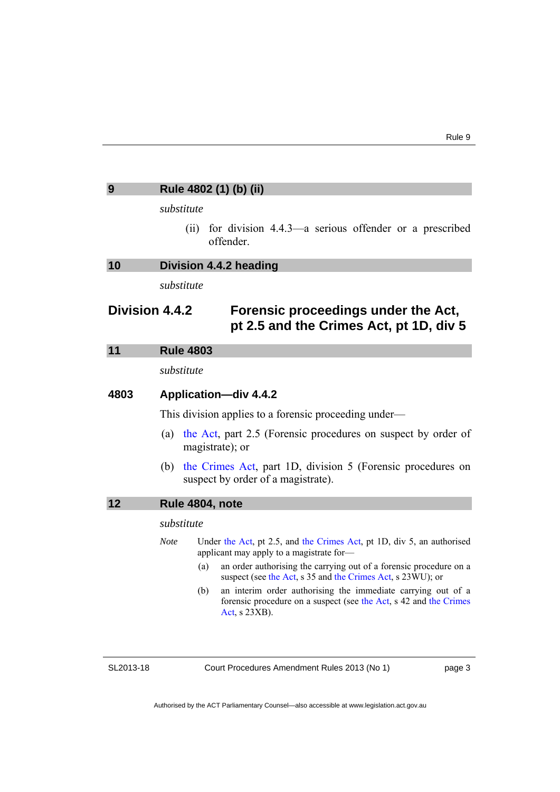<span id="page-6-2"></span><span id="page-6-1"></span><span id="page-6-0"></span>

| 9    | Rule 4802 (1) (b) (ii)                                                                                                                                                                                                                                                       |  |  |
|------|------------------------------------------------------------------------------------------------------------------------------------------------------------------------------------------------------------------------------------------------------------------------------|--|--|
|      | substitute                                                                                                                                                                                                                                                                   |  |  |
|      | for division 4.4.3—a serious offender or a prescribed<br>(ii)<br>offender.                                                                                                                                                                                                   |  |  |
| 10   | Division 4.4.2 heading                                                                                                                                                                                                                                                       |  |  |
|      | substitute                                                                                                                                                                                                                                                                   |  |  |
|      | Division 4.4.2<br>Forensic proceedings under the Act,<br>pt 2.5 and the Crimes Act, pt 1D, div 5                                                                                                                                                                             |  |  |
| 11   | <b>Rule 4803</b>                                                                                                                                                                                                                                                             |  |  |
|      | substitute                                                                                                                                                                                                                                                                   |  |  |
| 4803 | <b>Application-div 4.4.2</b><br>This division applies to a forensic proceeding under—                                                                                                                                                                                        |  |  |
|      |                                                                                                                                                                                                                                                                              |  |  |
|      | the Act, part 2.5 (Forensic procedures on suspect by order of<br>(a)<br>magistrate); or                                                                                                                                                                                      |  |  |
|      | the Crimes Act, part 1D, division 5 (Forensic procedures on<br>(b)<br>suspect by order of a magistrate).                                                                                                                                                                     |  |  |
| 12   | Rule 4804, note                                                                                                                                                                                                                                                              |  |  |
|      | substitute                                                                                                                                                                                                                                                                   |  |  |
|      | Under the Act, pt 2.5, and the Crimes Act, pt 1D, div 5, an authorised<br><b>Note</b><br>applicant may apply to a magistrate for-<br>an order authorising the carrying out of a forensic procedure on a<br>(a)<br>suspect (see the Act, s 35 and the Crimes Act, s 23WU); or |  |  |
|      | an interim order authorising the immediate carrying out of a<br>(b)<br>forensic procedure on a suspect (see the Act, s 42 and the Crimes<br>Act, $s$ 23XB).                                                                                                                  |  |  |

<span id="page-6-3"></span>Court Procedures Amendment Rules 2013 (No 1)

page 3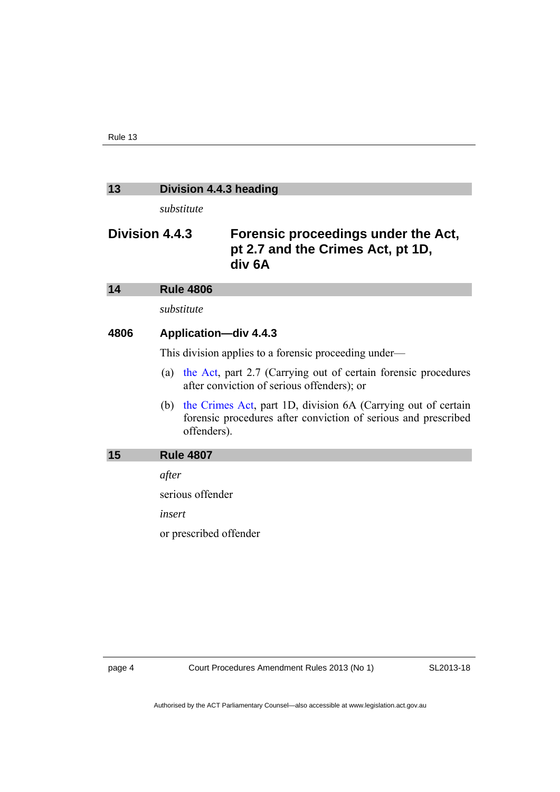### <span id="page-7-0"></span>**13 Division 4.4.3 heading**

*substitute* 

### **Division 4.4.3 Forensic proceedings under the Act, pt 2.7 and the Crimes Act, pt 1D, div 6A**

<span id="page-7-2"></span><span id="page-7-1"></span>

| 14   | <b>Rule 4806</b>                                                                                                                                   |
|------|----------------------------------------------------------------------------------------------------------------------------------------------------|
|      | substitute                                                                                                                                         |
| 4806 | Application-div 4.4.3                                                                                                                              |
|      | This division applies to a forensic proceeding under—                                                                                              |
|      | the Act, part 2.7 (Carrying out of certain forensic procedures<br>(a)<br>after conviction of serious offenders); or                                |
|      | (b) the Crimes Act, part 1D, division 6A (Carrying out of certain<br>forensic procedures after conviction of serious and prescribed<br>offenders). |
| 15   | <b>Rule 4807</b>                                                                                                                                   |
|      | after                                                                                                                                              |
|      | serious offender                                                                                                                                   |
|      | insert                                                                                                                                             |
|      | or prescribed offender                                                                                                                             |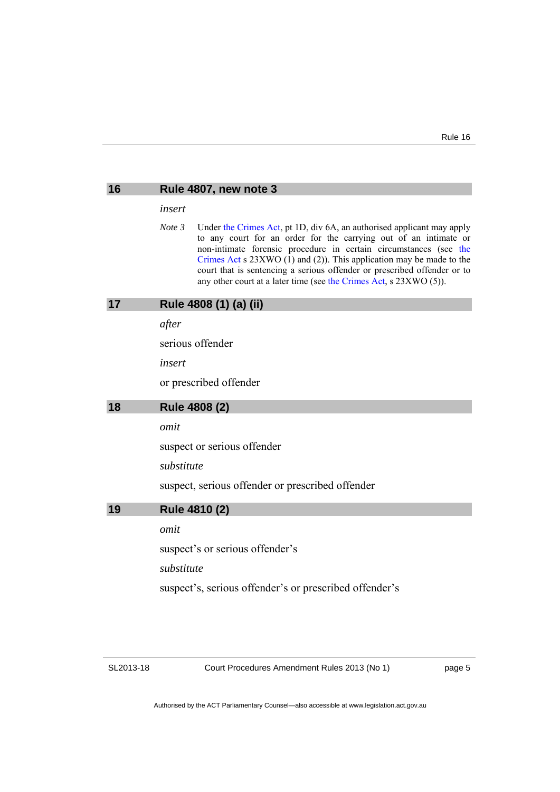<span id="page-8-2"></span><span id="page-8-1"></span><span id="page-8-0"></span>

| 16 | Rule 4807, new note 3                                                                                                                                                                                                                                                                                                                                                                                                                                 |  |
|----|-------------------------------------------------------------------------------------------------------------------------------------------------------------------------------------------------------------------------------------------------------------------------------------------------------------------------------------------------------------------------------------------------------------------------------------------------------|--|
|    | insert                                                                                                                                                                                                                                                                                                                                                                                                                                                |  |
|    | Note 3<br>Under the Crimes Act, pt 1D, div 6A, an authorised applicant may apply<br>to any court for an order for the carrying out of an intimate or<br>non-intimate forensic procedure in certain circumstances (see the<br>Crimes Act s $23XWO$ (1) and (2)). This application may be made to the<br>court that is sentencing a serious offender or prescribed offender or to<br>any other court at a later time (see the Crimes Act, s 23XWO (5)). |  |
| 17 | Rule 4808 (1) (a) (ii)                                                                                                                                                                                                                                                                                                                                                                                                                                |  |
|    | after                                                                                                                                                                                                                                                                                                                                                                                                                                                 |  |
|    | serious offender                                                                                                                                                                                                                                                                                                                                                                                                                                      |  |
|    | insert                                                                                                                                                                                                                                                                                                                                                                                                                                                |  |
|    | or prescribed offender                                                                                                                                                                                                                                                                                                                                                                                                                                |  |
| 18 | Rule 4808 (2)                                                                                                                                                                                                                                                                                                                                                                                                                                         |  |
|    | omit                                                                                                                                                                                                                                                                                                                                                                                                                                                  |  |
|    | suspect or serious offender                                                                                                                                                                                                                                                                                                                                                                                                                           |  |
|    |                                                                                                                                                                                                                                                                                                                                                                                                                                                       |  |
|    | substitute                                                                                                                                                                                                                                                                                                                                                                                                                                            |  |
|    | suspect, serious offender or prescribed offender                                                                                                                                                                                                                                                                                                                                                                                                      |  |
| 19 | Rule 4810 (2)                                                                                                                                                                                                                                                                                                                                                                                                                                         |  |
|    | omit                                                                                                                                                                                                                                                                                                                                                                                                                                                  |  |
|    | suspect's or serious offender's                                                                                                                                                                                                                                                                                                                                                                                                                       |  |
|    | substitute                                                                                                                                                                                                                                                                                                                                                                                                                                            |  |
|    | suspect's, serious offender's or prescribed offender's                                                                                                                                                                                                                                                                                                                                                                                                |  |
|    |                                                                                                                                                                                                                                                                                                                                                                                                                                                       |  |

<span id="page-8-3"></span>Court Procedures Amendment Rules 2013 (No 1)

page 5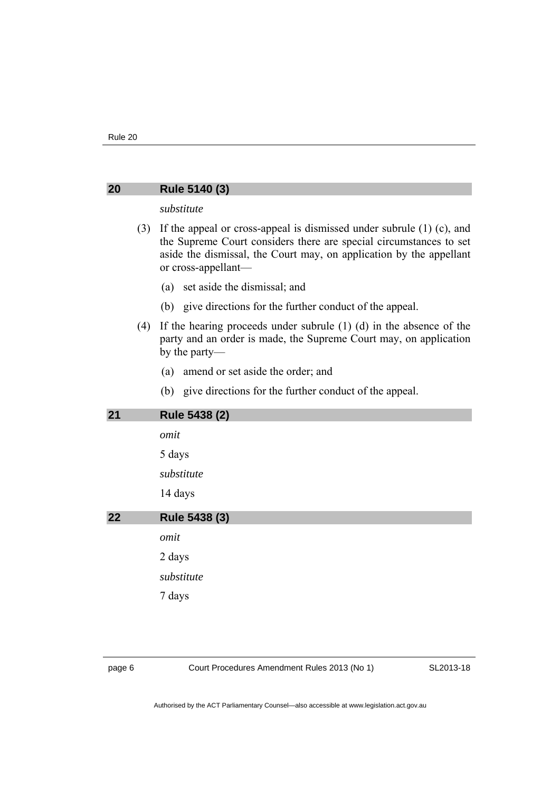#### <span id="page-9-0"></span>**20 Rule 5140 (3)**

#### *substitute*

- (3) If the appeal or cross-appeal is dismissed under subrule (1) (c), and the Supreme Court considers there are special circumstances to set aside the dismissal, the Court may, on application by the appellant or cross-appellant—
	- (a) set aside the dismissal; and
	- (b) give directions for the further conduct of the appeal.
- (4) If the hearing proceeds under subrule (1) (d) in the absence of the party and an order is made, the Supreme Court may, on application by the party—
	- (a) amend or set aside the order; and
	- (b) give directions for the further conduct of the appeal.

#### <span id="page-9-1"></span>**21 Rule 5438 (2)**

*omit* 

5 days

*substitute* 

14 days

<span id="page-9-2"></span>**22 Rule 5438 (3)**  *omit*  2 days *substitute*  7 days

page 6 Court Procedures Amendment Rules 2013 (No 1)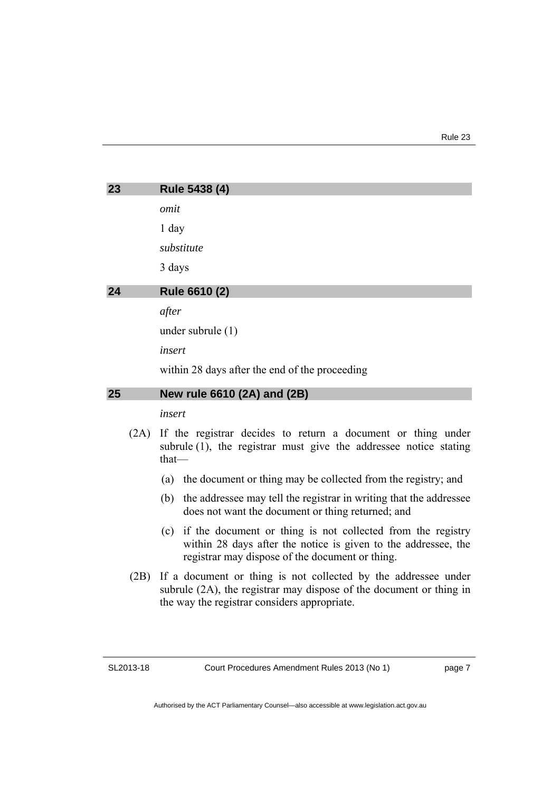<span id="page-10-1"></span><span id="page-10-0"></span>

| 23 | Rule 5438 (4)                                  |
|----|------------------------------------------------|
|    | omit                                           |
|    | $1$ day                                        |
|    | substitute                                     |
|    | 3 days                                         |
| 24 | Rule 6610 (2)                                  |
|    | after                                          |
|    | under subrule $(1)$                            |
|    | insert                                         |
|    | within 28 days after the end of the proceeding |
| 25 | New rule 6610 (2A) and (2B)                    |
|    | insert                                         |

- <span id="page-10-2"></span> (2A) If the registrar decides to return a document or thing under subrule (1), the registrar must give the addressee notice stating that—
	- (a) the document or thing may be collected from the registry; and
	- (b) the addressee may tell the registrar in writing that the addressee does not want the document or thing returned; and
	- (c) if the document or thing is not collected from the registry within 28 days after the notice is given to the addressee, the registrar may dispose of the document or thing.
- (2B) If a document or thing is not collected by the addressee under subrule (2A), the registrar may dispose of the document or thing in the way the registrar considers appropriate.

page 7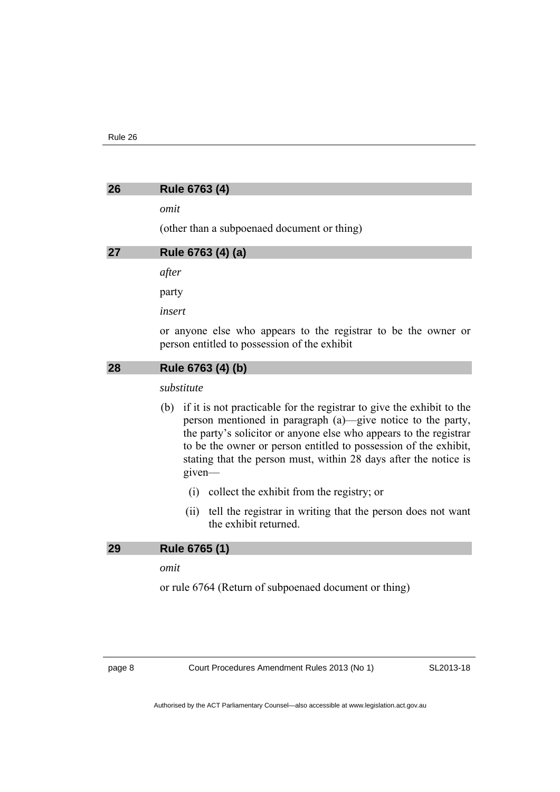# <span id="page-11-1"></span><span id="page-11-0"></span>**26 Rule 6763 (4)**  *omit*  (other than a subpoenaed document or thing) **27 Rule 6763 (4) (a)**  *after*  party *insert*  or anyone else who appears to the registrar to be the owner or person entitled to possession of the exhibit **28 Rule 6763 (4) (b)**  *substitute*  (b) if it is not practicable for the registrar to give the exhibit to the

- <span id="page-11-2"></span>person mentioned in paragraph (a)—give notice to the party, the party's solicitor or anyone else who appears to the registrar to be the owner or person entitled to possession of the exhibit, stating that the person must, within 28 days after the notice is given—
	- (i) collect the exhibit from the registry; or
	- (ii) tell the registrar in writing that the person does not want the exhibit returned.

#### <span id="page-11-3"></span>**29 Rule 6765 (1)**

*omit* 

or rule 6764 (Return of subpoenaed document or thing)

page 8 Court Procedures Amendment Rules 2013 (No 1)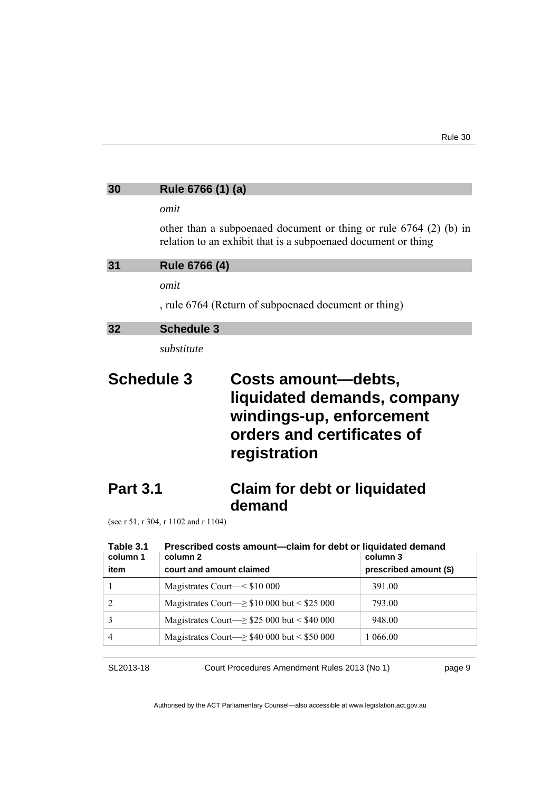# <span id="page-12-1"></span><span id="page-12-0"></span>**30 Rule 6766 (1) (a)**  *omit*  other than a subpoenaed document or thing or rule 6764 (2) (b) in relation to an exhibit that is a subpoenaed document or thing **31 Rule 6766 (4)**  *omit*  , rule 6764 (Return of subpoenaed document or thing) **32 Schedule 3**  *substitute*

### <span id="page-12-2"></span>**Schedule 3 Costs amount—debts, liquidated demands, company windings-up, enforcement orders and certificates of registration**

### **Part 3.1 Claim for debt or liquidated demand**

(see r 51, r 304, r 1102 and r 1104)

| Table 3.1 | Prescribed costs amount-claim for debt or liquidated demand |                        |  |
|-----------|-------------------------------------------------------------|------------------------|--|
| column 1  | column 2                                                    | column 3               |  |
| item      | court and amount claimed                                    | prescribed amount (\$) |  |
|           | Magistrates Court—< \$10 000                                | 391.00                 |  |
| 2         | Magistrates Court— $\geq$ \$10 000 but < \$25 000           | 793.00                 |  |
| 3         | Magistrates Court— $\ge$ \$25 000 but < \$40 000            | 948.00                 |  |
| 4         | Magistrates Court— $\geq$ \$40 000 but < \$50 000           | 1 066.00               |  |

SL2013-18

Court Procedures Amendment Rules 2013 (No 1)

page 9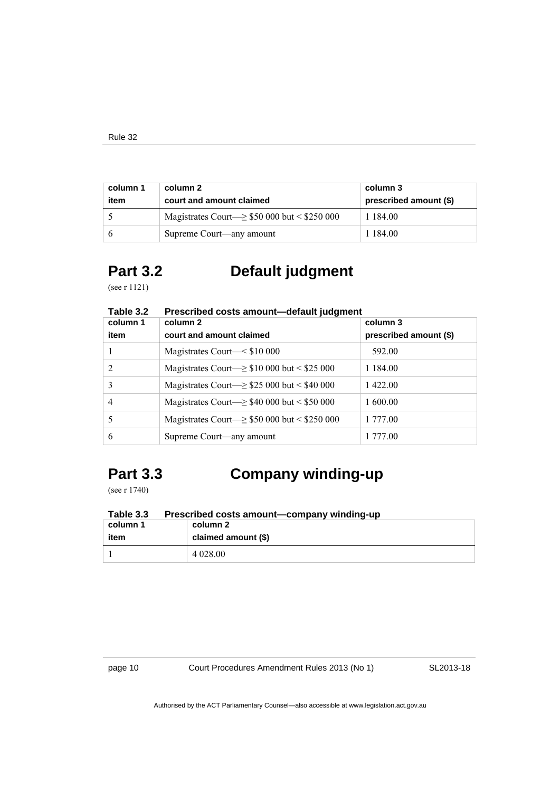| column 1<br>item | column 2<br>court and amount claimed               | column 3<br>prescribed amount (\$) |
|------------------|----------------------------------------------------|------------------------------------|
|                  | Magistrates Court— $\geq$ \$50 000 but < \$250 000 | 1 1 8 4 0 0                        |
|                  | Supreme Court—any amount                           | 1 1 8 4 0 0                        |

### **Part 3.2 Default judgment**

(see r 1121)

| l able 3.2<br>column 1 | Prescribed costs amount—default judgment<br>column 2 | column 3               |
|------------------------|------------------------------------------------------|------------------------|
| item                   | court and amount claimed                             | prescribed amount (\$) |
|                        | Magistrates Court—< \$10 000                         | 592.00                 |
| 2                      | Magistrates Court— $\geq$ \$10 000 but < \$25 000    | 1 1 8 4 0 0            |
| 3                      | Magistrates Court— $\ge$ \$25 000 but < \$40 000     | 1422.00                |
| 4                      | Magistrates Court— $\geq$ \$40 000 but < \$50 000    | 1 600.00               |
|                        | Magistrates Court— $\geq$ \$50 000 but < \$250 000   | 1 777.00               |
| 6                      | Supreme Court—any amount                             | 1 777.00               |

#### **Table 3.2 Prescribed costs amount—default judgment**

# **Part 3.3 Company winding-up**

(see r 1740)

**Table 3.3 Prescribed costs amount—company winding-up** 

| column 1 | column 2            |  |
|----------|---------------------|--|
| item     | claimed amount (\$) |  |
|          | 4 0 28 0 0          |  |

page 10 Court Procedures Amendment Rules 2013 (No 1)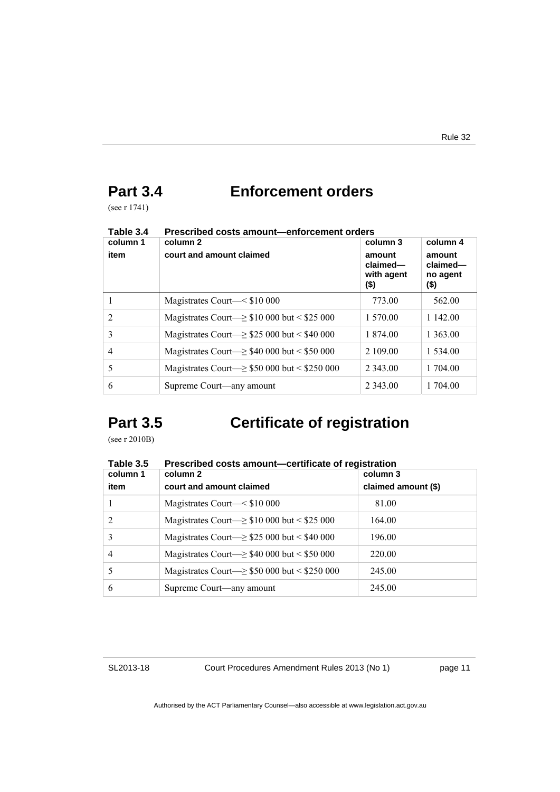### **Part 3.4 Enforcement orders**

(see r 1741)

| column 1       | column 2                                                 | column 3                                 | column 4                               |
|----------------|----------------------------------------------------------|------------------------------------------|----------------------------------------|
| item           | court and amount claimed                                 | amount<br>claimed-<br>with agent<br>(\$) | amount<br>claimed-<br>no agent<br>(\$) |
|                | Magistrates Court— $\leq$ \$10 000                       | 773.00                                   | 562.00                                 |
| $\overline{2}$ | Magistrates Court— $\geq$ \$10 000 but < \$25 000        | 1 570.00                                 | 1 142.00                               |
| 3              | Magistrates Court $\ge$ \$25 000 but < \$40 000          | 1 874.00                                 | 1 3 6 3 .00                            |
| 4              | Magistrates Court— $\geq$ \$40 000 but < \$50 000        | 2 109.00                                 | 1 5 3 4 .00                            |
| 5              | Magistrates Court $\rightarrow$ \$50 000 but < \$250 000 | 2 3 4 3 .00                              | 1 704.00                               |
| 6              | Supreme Court—any amount                                 | 2 3 4 3 .00                              | 1 704.00                               |

#### **Table 3.4 Prescribed costs amount—enforcement orders**

## **Part 3.5 Certificate of registration**

(see r 2010B)

| Table 3.5      | Prescribed costs amount-certificate of registration     |                     |  |
|----------------|---------------------------------------------------------|---------------------|--|
| column 1       | column 2                                                | column 3            |  |
| item           | court and amount claimed                                | claimed amount (\$) |  |
|                | Magistrates Court—< \$10 000                            | 81.00               |  |
| $\overline{2}$ | Magistrates Court— $\geq$ \$10 000 but < \$25 000       | 164.00              |  |
| 3              | Magistrates Court— $\ge$ \$25 000 but < \$40 000        | 196.00              |  |
| $\overline{4}$ | Magistrates Court $\Rightarrow$ \$40 000 but < \$50 000 | 220.00              |  |
|                | Magistrates Court- $\ge$ \$50 000 but < \$250 000       | 245.00              |  |
| 6              | Supreme Court—any amount                                | 245.00              |  |

SL2013-18

Court Procedures Amendment Rules 2013 (No 1)

page 11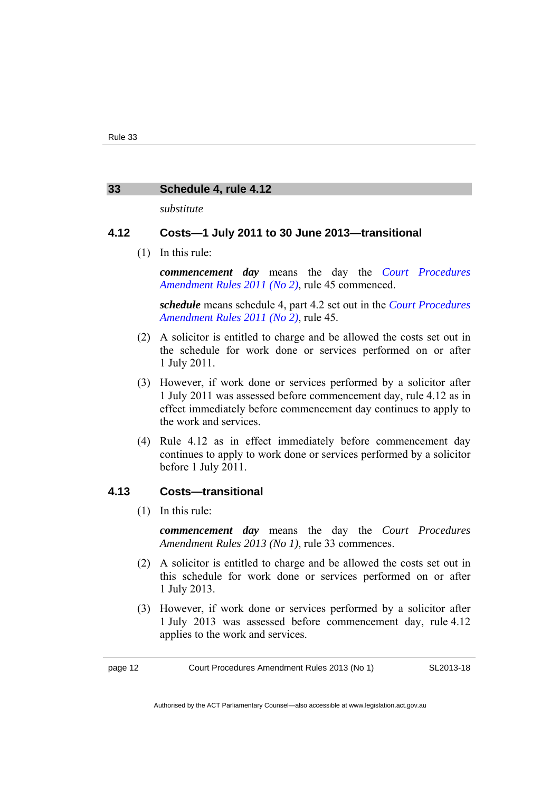#### <span id="page-15-0"></span>**33 Schedule 4, rule 4.12**

*substitute* 

#### **4.12 Costs—1 July 2011 to 30 June 2013—transitional**

(1) In this rule:

*commencement day* means the day the *[Court Procedures](http://www.legislation.act.gov.au/sl/2011-17/default.asp)  [Amendment Rules 2011 \(No 2\)](http://www.legislation.act.gov.au/sl/2011-17/default.asp)*, rule 45 commenced.

*schedule* means schedule 4, part 4.2 set out in the *[Court Procedures](http://www.legislation.act.gov.au/sl/2011-17/default.asp)  [Amendment Rules 2011 \(No 2\)](http://www.legislation.act.gov.au/sl/2011-17/default.asp)*, rule 45.

- (2) A solicitor is entitled to charge and be allowed the costs set out in the schedule for work done or services performed on or after 1 July 2011.
- (3) However, if work done or services performed by a solicitor after 1 July 2011 was assessed before commencement day, rule 4.12 as in effect immediately before commencement day continues to apply to the work and services.
- (4) Rule 4.12 as in effect immediately before commencement day continues to apply to work done or services performed by a solicitor before 1 July 2011.

#### **4.13 Costs—transitional**

(1) In this rule:

*commencement day* means the day the *Court Procedures Amendment Rules 2013 (No 1)*, rule 33 commences.

- (2) A solicitor is entitled to charge and be allowed the costs set out in this schedule for work done or services performed on or after 1 July 2013.
- (3) However, if work done or services performed by a solicitor after 1 July 2013 was assessed before commencement day, rule 4.12 applies to the work and services.

page 12 Court Procedures Amendment Rules 2013 (No 1)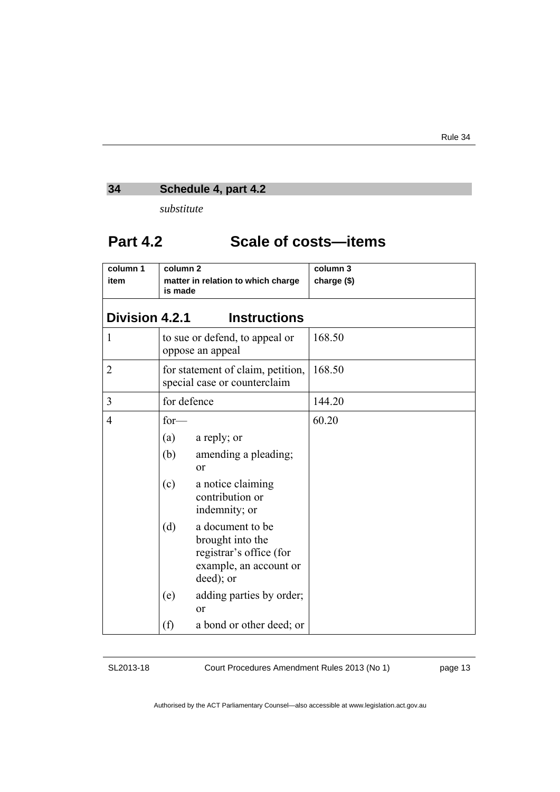### <span id="page-16-0"></span>**34 Schedule 4, part 4.2**

*substitute* 

### **Part 4.2 Scale of costs—items**

| column 1<br>item      | column <sub>2</sub><br>matter in relation to which charge<br>is made |                                                                                                        | column 3<br>charge (\$) |
|-----------------------|----------------------------------------------------------------------|--------------------------------------------------------------------------------------------------------|-------------------------|
| <b>Division 4.2.1</b> |                                                                      | <b>Instructions</b>                                                                                    |                         |
| 1                     |                                                                      | to sue or defend, to appeal or<br>oppose an appeal                                                     | 168.50                  |
| $\overline{2}$        |                                                                      | for statement of claim, petition,<br>special case or counterclaim                                      | 168.50                  |
| 3                     | for defence                                                          |                                                                                                        | 144.20                  |
| $\overline{4}$        | $for-$<br>(a)<br>(b)                                                 | a reply; or<br>amending a pleading;<br><sub>or</sub>                                                   | 60.20                   |
|                       | (c)                                                                  | a notice claiming<br>contribution or<br>indemnity; or                                                  |                         |
|                       | (d)                                                                  | a document to be<br>brought into the<br>registrar's office (for<br>example, an account or<br>deed); or |                         |
|                       | (e)                                                                  | adding parties by order;<br>$\alpha$                                                                   |                         |
|                       | (f)                                                                  | a bond or other deed; or                                                                               |                         |

SL2013-18

Court Procedures Amendment Rules 2013 (No 1)

page 13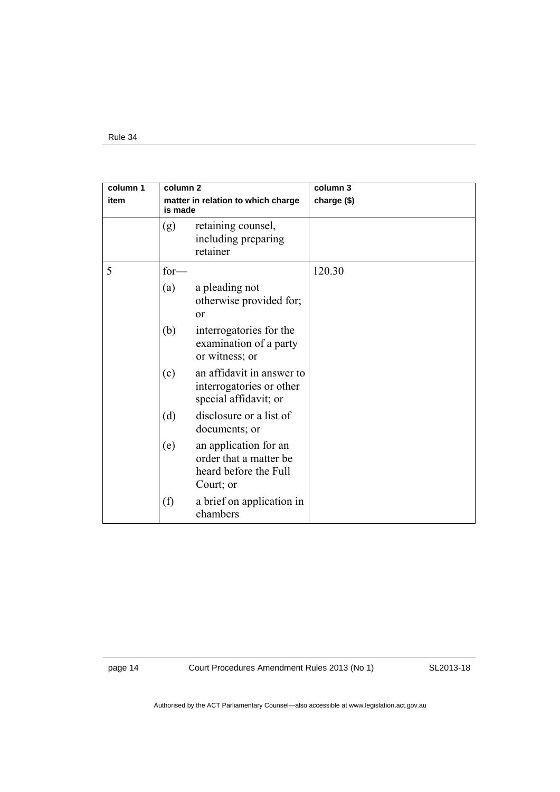| column 1<br>column <sub>2</sub> |         |                                                                                       | column 3    |
|---------------------------------|---------|---------------------------------------------------------------------------------------|-------------|
| item                            | is made | matter in relation to which charge                                                    | charge (\$) |
|                                 | (g)     | retaining counsel,<br>including preparing<br>retainer                                 |             |
| 5                               | $for-$  |                                                                                       | 120.30      |
|                                 | (a)     | a pleading not<br>otherwise provided for;<br>$\alpha$                                 |             |
|                                 | (b)     | interrogatories for the<br>examination of a party<br>or witness; or                   |             |
|                                 | (c)     | an affidavit in answer to<br>interrogatories or other<br>special affidavit; or        |             |
|                                 | (d)     | disclosure or a list of<br>documents; or                                              |             |
|                                 | (e)     | an application for an<br>order that a matter be<br>heard before the Full<br>Court; or |             |
|                                 | (f)     | a brief on application in<br>chambers                                                 |             |

page 14 Court Procedures Amendment Rules 2013 (No 1)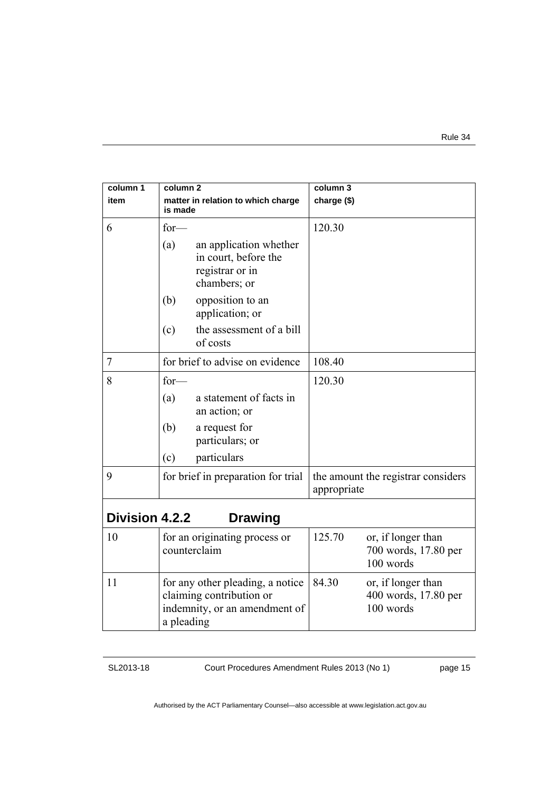| column 1              | column <sub>2</sub>                                                                                         | column 3                                                          |  |
|-----------------------|-------------------------------------------------------------------------------------------------------------|-------------------------------------------------------------------|--|
| item                  | matter in relation to which charge<br>is made                                                               | charge (\$)                                                       |  |
| 6                     | $for-$                                                                                                      | 120.30                                                            |  |
|                       | (a)<br>an application whether<br>in court, before the<br>registrar or in<br>chambers; or                    |                                                                   |  |
|                       | (b)<br>opposition to an<br>application; or                                                                  |                                                                   |  |
|                       | the assessment of a bill<br>(c)<br>of costs                                                                 |                                                                   |  |
| 7                     | for brief to advise on evidence                                                                             | 108.40                                                            |  |
| 8                     | $for-$                                                                                                      | 120.30                                                            |  |
|                       | a statement of facts in<br>(a)<br>an action; or                                                             |                                                                   |  |
|                       | (b)<br>a request for<br>particulars; or                                                                     |                                                                   |  |
|                       | (c)<br>particulars                                                                                          |                                                                   |  |
| 9                     | for brief in preparation for trial                                                                          | the amount the registrar considers<br>appropriate                 |  |
| <b>Division 4.2.2</b> | <b>Drawing</b>                                                                                              |                                                                   |  |
| 10                    | for an originating process or<br>counterclaim                                                               | 125.70<br>or, if longer than<br>700 words, 17.80 per<br>100 words |  |
| 11                    | for any other pleading, a notice<br>claiming contribution or<br>indemnity, or an amendment of<br>a pleading | 84.30<br>or, if longer than<br>400 words, 17.80 per<br>100 words  |  |

Court Procedures Amendment Rules 2013 (No 1)

page 15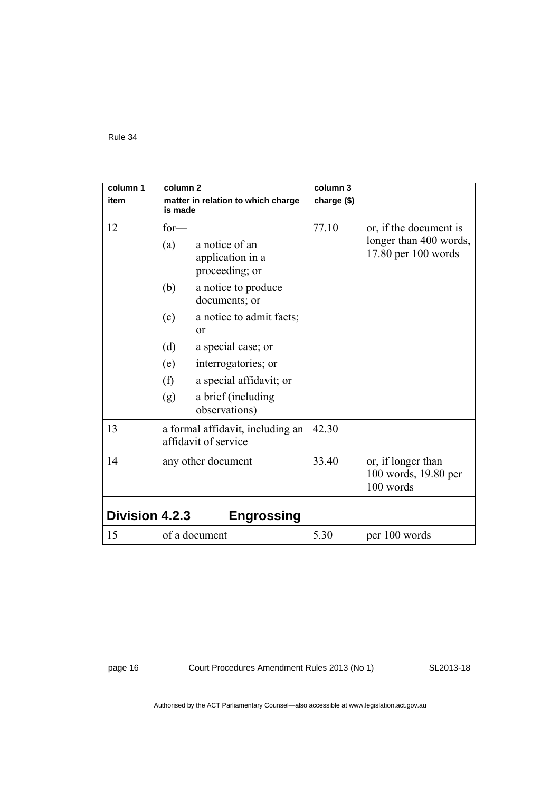| column 1              | column <sub>2</sub>                           |                                                                             | column 3    |                                                                         |
|-----------------------|-----------------------------------------------|-----------------------------------------------------------------------------|-------------|-------------------------------------------------------------------------|
| item                  | matter in relation to which charge<br>is made |                                                                             | charge (\$) |                                                                         |
| 12                    | $for-$<br>(a)<br>(b)                          | a notice of an<br>application in a<br>proceeding; or<br>a notice to produce | 77.10       | or, if the document is<br>longer than 400 words,<br>17.80 per 100 words |
|                       |                                               | documents; or                                                               |             |                                                                         |
|                       | (c)<br>or                                     | a notice to admit facts;                                                    |             |                                                                         |
|                       | (d)<br>(e)                                    | a special case; or<br>interrogatories; or                                   |             |                                                                         |
|                       | (f)<br>(g)                                    | a special affidavit; or<br>a brief (including                               |             |                                                                         |
|                       |                                               | observations)                                                               |             |                                                                         |
| 13                    | affidavit of service                          | a formal affidavit, including an                                            | 42.30       |                                                                         |
| 14                    | any other document                            |                                                                             | 33.40       | or, if longer than<br>100 words, 19.80 per<br>100 words                 |
| <b>Division 4.2.3</b> |                                               | <b>Engrossing</b>                                                           |             |                                                                         |
| 15                    | of a document                                 |                                                                             | 5.30        | per 100 words                                                           |

page 16 Court Procedures Amendment Rules 2013 (No 1)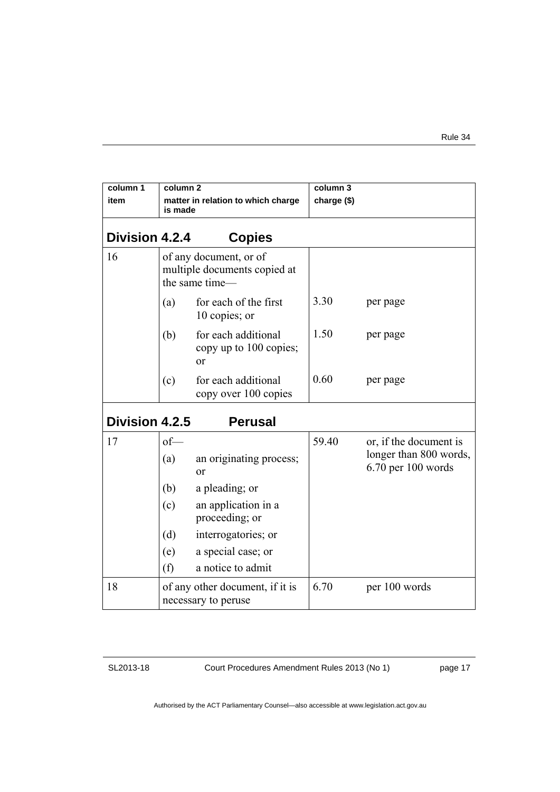| column 1<br>item      | column <sub>2</sub><br>is made                         | matter in relation to which charge                                                                                                                         | column 3<br>charge (\$) |                                                                            |
|-----------------------|--------------------------------------------------------|------------------------------------------------------------------------------------------------------------------------------------------------------------|-------------------------|----------------------------------------------------------------------------|
| Division 4.2.4        |                                                        | <b>Copies</b>                                                                                                                                              |                         |                                                                            |
| 16                    |                                                        | of any document, or of<br>multiple documents copied at<br>the same time-                                                                                   |                         |                                                                            |
|                       | (a)                                                    | for each of the first<br>10 copies; or                                                                                                                     | 3.30                    | per page                                                                   |
|                       | (b)                                                    | for each additional<br>copy up to 100 copies;<br>$\alpha$                                                                                                  | 1.50                    | per page                                                                   |
|                       | (c)                                                    | for each additional<br>copy over 100 copies                                                                                                                | 0.60                    | per page                                                                   |
| <b>Division 4.2.5</b> |                                                        | <b>Perusal</b>                                                                                                                                             |                         |                                                                            |
| 17                    | $of$ —<br>(a)<br>(b)<br>(c)<br>(d)<br>(e)<br>(f)       | an originating process;<br>or<br>a pleading; or<br>an application in a<br>proceeding; or<br>interrogatories; or<br>a special case; or<br>a notice to admit | 59.40                   | or, if the document is<br>longer than 800 words,<br>$6.70$ per $100$ words |
| 18                    | of any other document, if it is<br>necessary to peruse |                                                                                                                                                            | 6.70                    | per 100 words                                                              |

Court Procedures Amendment Rules 2013 (No 1)

page 17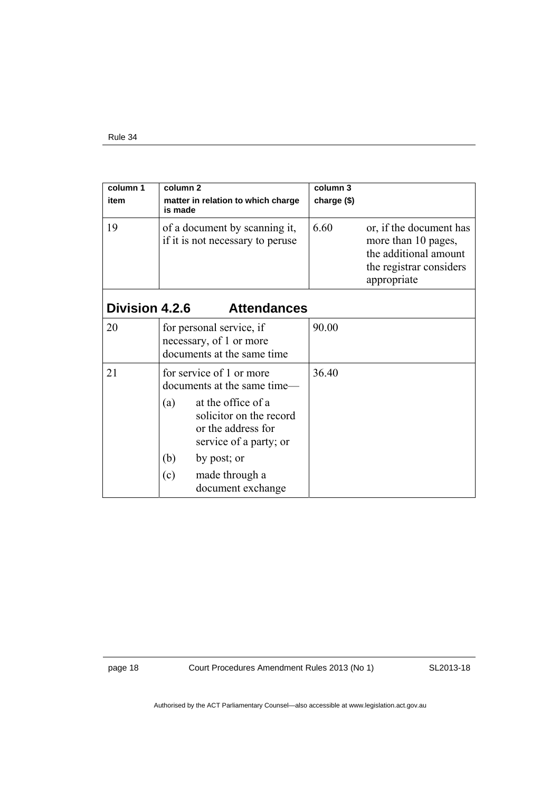| column 1              | column <sub>2</sub>                                                                                                                                                                   | column 3                                                                                                                  |
|-----------------------|---------------------------------------------------------------------------------------------------------------------------------------------------------------------------------------|---------------------------------------------------------------------------------------------------------------------------|
| item                  | matter in relation to which charge                                                                                                                                                    | charge (\$)                                                                                                               |
|                       | is made                                                                                                                                                                               |                                                                                                                           |
| 19                    | of a document by scanning it,<br>if it is not necessary to peruse                                                                                                                     | 6.60<br>or, if the document has<br>more than 10 pages,<br>the additional amount<br>the registrar considers<br>appropriate |
| <b>Division 4.2.6</b> | <b>Attendances</b>                                                                                                                                                                    |                                                                                                                           |
| 20                    | for personal service, if<br>necessary, of 1 or more<br>documents at the same time                                                                                                     | 90.00                                                                                                                     |
| 21                    | for service of 1 or more<br>documents at the same time—<br>at the office of a<br>(a)<br>solicitor on the record<br>or the address for<br>service of a party; or<br>(b)<br>by post; or | 36.40                                                                                                                     |
|                       | (c)<br>made through a<br>document exchange                                                                                                                                            |                                                                                                                           |

page 18 Court Procedures Amendment Rules 2013 (No 1)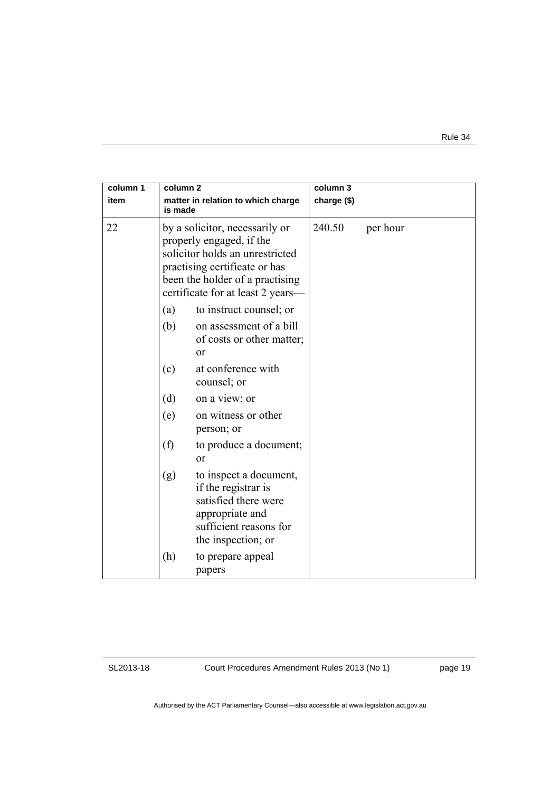| column 1<br>item | column <sub>2</sub><br>is made                                                                                                                                                                         | matter in relation to which charge                                                                                                       | column 3<br>charge (\$) |          |
|------------------|--------------------------------------------------------------------------------------------------------------------------------------------------------------------------------------------------------|------------------------------------------------------------------------------------------------------------------------------------------|-------------------------|----------|
| 22               | by a solicitor, necessarily or<br>properly engaged, if the<br>solicitor holds an unrestricted<br>practising certificate or has<br>been the holder of a practising<br>certificate for at least 2 years- |                                                                                                                                          | 240.50                  | per hour |
|                  | (a)                                                                                                                                                                                                    | to instruct counsel; or                                                                                                                  |                         |          |
|                  | (b)                                                                                                                                                                                                    | on assessment of a bill<br>of costs or other matter;<br><sub>or</sub>                                                                    |                         |          |
|                  | (c)                                                                                                                                                                                                    | at conference with<br>counsel; or                                                                                                        |                         |          |
|                  | (d)                                                                                                                                                                                                    | on a view; or                                                                                                                            |                         |          |
|                  | (e)                                                                                                                                                                                                    | on witness or other<br>person; or                                                                                                        |                         |          |
|                  | (f)                                                                                                                                                                                                    | to produce a document;<br>or                                                                                                             |                         |          |
|                  | (g)                                                                                                                                                                                                    | to inspect a document,<br>if the registrar is<br>satisfied there were<br>appropriate and<br>sufficient reasons for<br>the inspection; or |                         |          |
|                  | (h)                                                                                                                                                                                                    | to prepare appeal<br>papers                                                                                                              |                         |          |

Court Procedures Amendment Rules 2013 (No 1)

page 19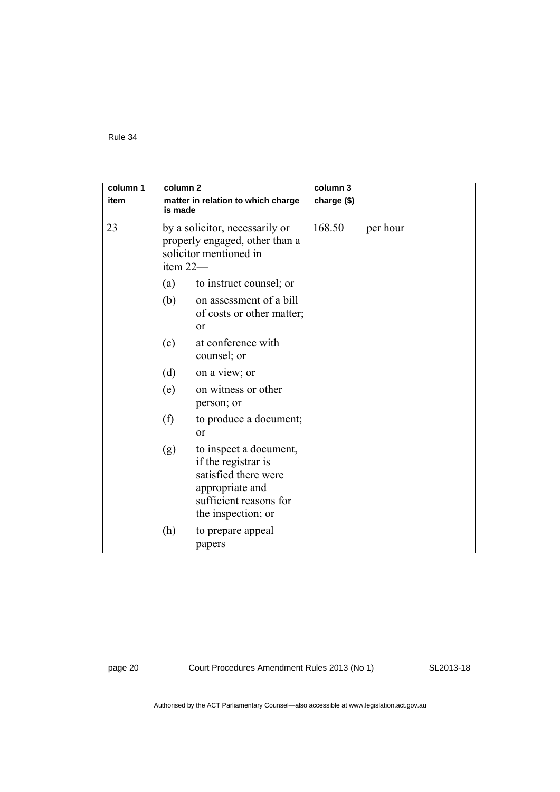| column 1<br>item | column <sub>2</sub><br>matter in relation to which charge<br>is made<br>by a solicitor, necessarily or<br>properly engaged, other than a<br>solicitor mentioned in<br>item 22- |                                                                                                                                          | column 3<br>charge (\$) |          |
|------------------|--------------------------------------------------------------------------------------------------------------------------------------------------------------------------------|------------------------------------------------------------------------------------------------------------------------------------------|-------------------------|----------|
| 23               |                                                                                                                                                                                |                                                                                                                                          | 168.50                  | per hour |
|                  | (a)                                                                                                                                                                            | to instruct counsel; or                                                                                                                  |                         |          |
|                  | (b)                                                                                                                                                                            | on assessment of a bill<br>of costs or other matter;<br><sub>or</sub>                                                                    |                         |          |
|                  | (c)                                                                                                                                                                            | at conference with<br>counsel; or                                                                                                        |                         |          |
|                  | (d)                                                                                                                                                                            | on a view; or                                                                                                                            |                         |          |
|                  | (e)                                                                                                                                                                            | on witness or other<br>person; or                                                                                                        |                         |          |
|                  | (f)                                                                                                                                                                            | to produce a document;<br><sub>or</sub>                                                                                                  |                         |          |
|                  | (g)                                                                                                                                                                            | to inspect a document,<br>if the registrar is<br>satisfied there were<br>appropriate and<br>sufficient reasons for<br>the inspection; or |                         |          |
|                  | (h)                                                                                                                                                                            | to prepare appeal<br>papers                                                                                                              |                         |          |

page 20 Court Procedures Amendment Rules 2013 (No 1)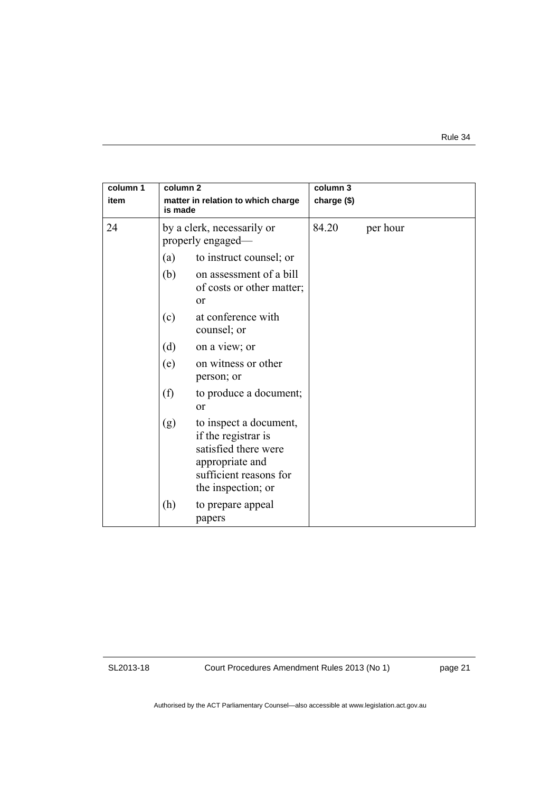| column 1<br>item | column <sub>2</sub><br>matter in relation to which charge<br>is made |                                                                                                                                          | column 3<br>charge (\$) |          |  |
|------------------|----------------------------------------------------------------------|------------------------------------------------------------------------------------------------------------------------------------------|-------------------------|----------|--|
| 24               |                                                                      | by a clerk, necessarily or<br>properly engaged—                                                                                          | 84.20                   | per hour |  |
|                  | (a)                                                                  | to instruct counsel; or                                                                                                                  |                         |          |  |
|                  | (b)                                                                  | on assessment of a bill<br>of costs or other matter;<br>$\alpha$                                                                         |                         |          |  |
|                  | (c)                                                                  | at conference with<br>counsel; or                                                                                                        |                         |          |  |
|                  | (d)                                                                  | on a view; or                                                                                                                            |                         |          |  |
|                  | (e)                                                                  | on witness or other<br>person; or                                                                                                        |                         |          |  |
|                  | (f)                                                                  | to produce a document;<br>or                                                                                                             |                         |          |  |
|                  | (g)                                                                  | to inspect a document,<br>if the registrar is<br>satisfied there were<br>appropriate and<br>sufficient reasons for<br>the inspection; or |                         |          |  |
|                  | (h)                                                                  | to prepare appeal<br>papers                                                                                                              |                         |          |  |

Court Procedures Amendment Rules 2013 (No 1)

page 21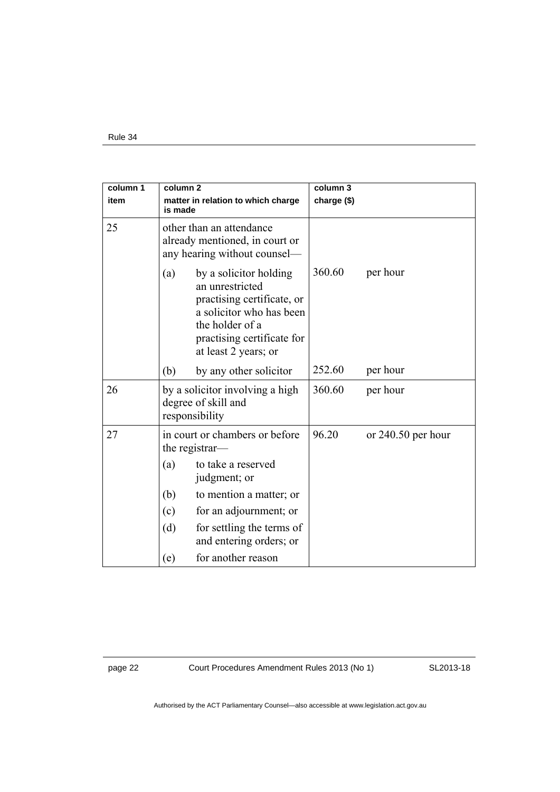| column 1<br>item | column 2<br>is made                                                                        | matter in relation to which charge                                                                                                                                           | column 3<br>charge (\$) |                      |
|------------------|--------------------------------------------------------------------------------------------|------------------------------------------------------------------------------------------------------------------------------------------------------------------------------|-------------------------|----------------------|
| 25               | other than an attendance<br>already mentioned, in court or<br>any hearing without counsel- |                                                                                                                                                                              |                         |                      |
|                  | (a)                                                                                        | by a solicitor holding<br>an unrestricted<br>practising certificate, or<br>a solicitor who has been<br>the holder of a<br>practising certificate for<br>at least 2 years; or | 360.60                  | per hour             |
|                  | (b)                                                                                        | by any other solicitor                                                                                                                                                       | 252.60                  | per hour             |
| 26               |                                                                                            | by a solicitor involving a high<br>degree of skill and<br>responsibility                                                                                                     | 360.60                  | per hour             |
| 27               |                                                                                            | in court or chambers or before<br>the registrar-                                                                                                                             | 96.20                   | or $240.50$ per hour |
|                  | (a)                                                                                        | to take a reserved<br>judgment; or                                                                                                                                           |                         |                      |
|                  | (b)                                                                                        | to mention a matter; or                                                                                                                                                      |                         |                      |
|                  | (c)                                                                                        | for an adjournment; or                                                                                                                                                       |                         |                      |
|                  | (d)                                                                                        | for settling the terms of<br>and entering orders; or                                                                                                                         |                         |                      |
|                  | (e)                                                                                        | for another reason                                                                                                                                                           |                         |                      |

page 22 Court Procedures Amendment Rules 2013 (No 1)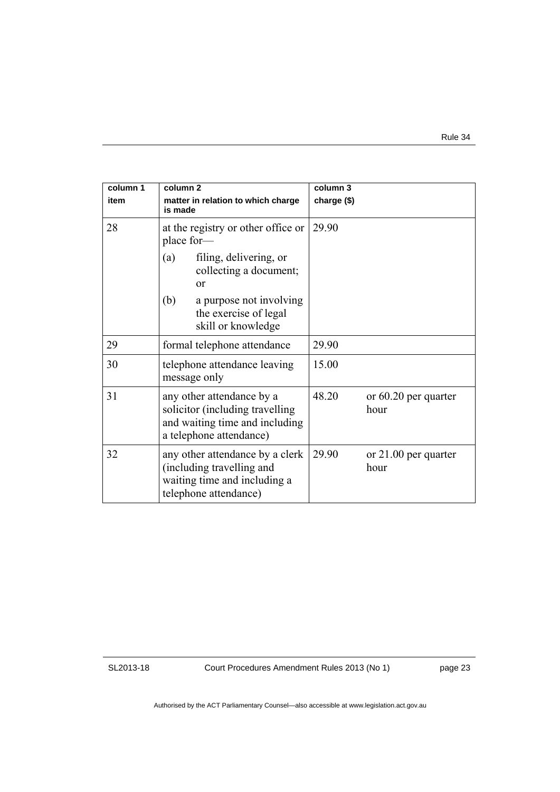| column 1<br>item | column <sub>2</sub><br>matter in relation to which charge<br>is made                                                      | column 3<br>charge (\$)                 |
|------------------|---------------------------------------------------------------------------------------------------------------------------|-----------------------------------------|
| 28               | at the registry or other office or<br>place for-                                                                          | 29.90                                   |
|                  | filing, delivering, or<br>(a)<br>collecting a document;<br>$\alpha$                                                       |                                         |
|                  | (b)<br>a purpose not involving<br>the exercise of legal<br>skill or knowledge                                             |                                         |
| 29               | formal telephone attendance                                                                                               | 29.90                                   |
| 30               | telephone attendance leaving<br>message only                                                                              | 15.00                                   |
| 31               | any other attendance by a<br>solicitor (including travelling<br>and waiting time and including<br>a telephone attendance) | 48.20<br>or $60.20$ per quarter<br>hour |
| 32               | any other attendance by a clerk<br>(including travelling and<br>waiting time and including a<br>telephone attendance)     | 29.90<br>or 21.00 per quarter<br>hour   |

Court Procedures Amendment Rules 2013 (No 1)

page 23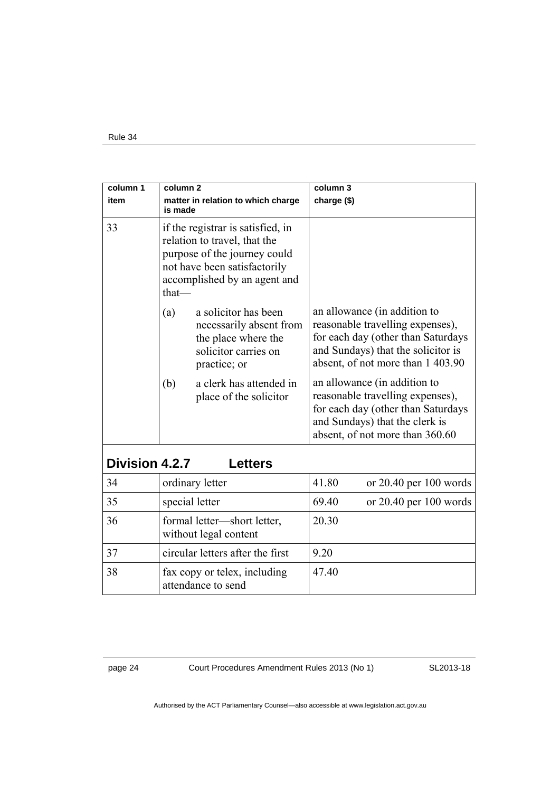| column 1<br>item | column <sub>2</sub>                                | matter in relation to which charge                                                                                                                                | column 3<br>charge (\$)                                                                                                                                                     |                                                                                                                                                                                   |
|------------------|----------------------------------------------------|-------------------------------------------------------------------------------------------------------------------------------------------------------------------|-----------------------------------------------------------------------------------------------------------------------------------------------------------------------------|-----------------------------------------------------------------------------------------------------------------------------------------------------------------------------------|
|                  | is made                                            |                                                                                                                                                                   |                                                                                                                                                                             |                                                                                                                                                                                   |
| 33<br>that-      |                                                    | if the registrar is satisfied, in<br>relation to travel, that the<br>purpose of the journey could<br>not have been satisfactorily<br>accomplished by an agent and |                                                                                                                                                                             |                                                                                                                                                                                   |
|                  | (a)                                                | a solicitor has been<br>necessarily absent from<br>the place where the<br>solicitor carries on<br>practice; or                                                    |                                                                                                                                                                             | an allowance (in addition to<br>reasonable travelling expenses),<br>for each day (other than Saturdays<br>and Sundays) that the solicitor is<br>absent, of not more than 1 403.90 |
|                  | (b)                                                | a clerk has attended in<br>place of the solicitor                                                                                                                 | an allowance (in addition to<br>reasonable travelling expenses),<br>for each day (other than Saturdays<br>and Sundays) that the clerk is<br>absent, of not more than 360.60 |                                                                                                                                                                                   |
| Division 4.2.7   |                                                    | <b>Letters</b>                                                                                                                                                    |                                                                                                                                                                             |                                                                                                                                                                                   |
|                  |                                                    |                                                                                                                                                                   |                                                                                                                                                                             |                                                                                                                                                                                   |
| 34               |                                                    | ordinary letter                                                                                                                                                   | 41.80                                                                                                                                                                       | or 20.40 per 100 words                                                                                                                                                            |
| 35               |                                                    | special letter                                                                                                                                                    | 69.40                                                                                                                                                                       | or $20.40$ per $100$ words                                                                                                                                                        |
| 36               |                                                    | formal letter—short letter,<br>without legal content                                                                                                              | 20.30                                                                                                                                                                       |                                                                                                                                                                                   |
| 37               | circular letters after the first                   |                                                                                                                                                                   | 9.20                                                                                                                                                                        |                                                                                                                                                                                   |
| 38               | fax copy or telex, including<br>attendance to send |                                                                                                                                                                   | 47.40                                                                                                                                                                       |                                                                                                                                                                                   |

page 24 Court Procedures Amendment Rules 2013 (No 1)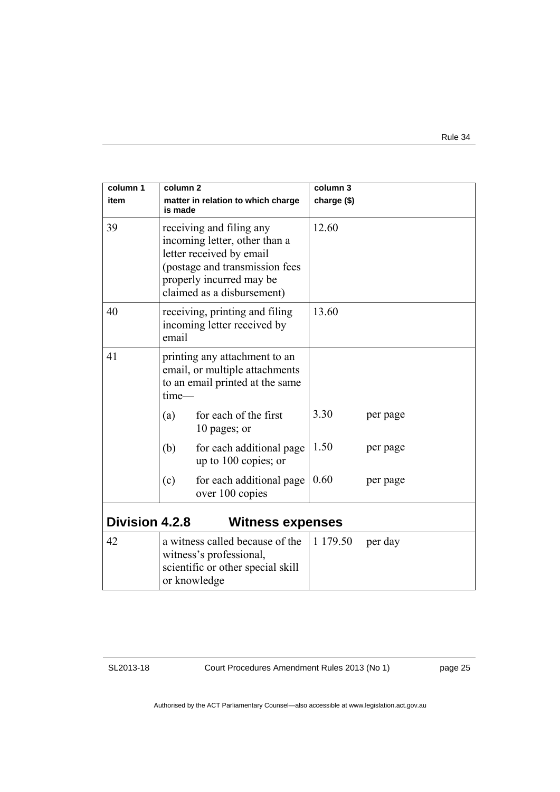| column 1<br>item      | column <sub>2</sub><br>is made                                                                                                                                                    | matter in relation to which charge                                                                              | column 3<br>charge (\$) |          |
|-----------------------|-----------------------------------------------------------------------------------------------------------------------------------------------------------------------------------|-----------------------------------------------------------------------------------------------------------------|-------------------------|----------|
| 39                    | receiving and filing any<br>incoming letter, other than a<br>letter received by email<br>(postage and transmission fees<br>properly incurred may be<br>claimed as a disbursement) |                                                                                                                 | 12.60                   |          |
| 40                    | receiving, printing and filing<br>incoming letter received by<br>email                                                                                                            |                                                                                                                 | 13.60                   |          |
| 41                    | time-                                                                                                                                                                             | printing any attachment to an<br>email, or multiple attachments<br>to an email printed at the same              |                         |          |
|                       | (a)                                                                                                                                                                               | for each of the first<br>10 pages; or                                                                           | 3.30                    | per page |
|                       | (b)                                                                                                                                                                               | for each additional page<br>up to 100 copies; or                                                                | 1.50                    | per page |
|                       | (c)                                                                                                                                                                               | for each additional page<br>over 100 copies                                                                     | 0.60                    | per page |
| <b>Division 4.2.8</b> |                                                                                                                                                                                   | <b>Witness expenses</b>                                                                                         |                         |          |
| 42                    |                                                                                                                                                                                   | a witness called because of the<br>witness's professional,<br>scientific or other special skill<br>or knowledge | 1 179.50                | per day  |

Court Procedures Amendment Rules 2013 (No 1)

page 25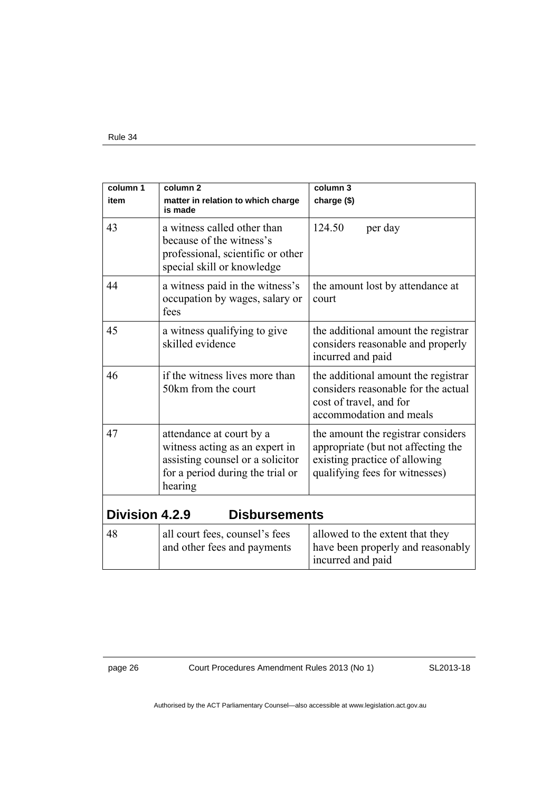| column 1              | column <sub>2</sub>                                                                                                                           | column 3                                                                                                                                    |  |
|-----------------------|-----------------------------------------------------------------------------------------------------------------------------------------------|---------------------------------------------------------------------------------------------------------------------------------------------|--|
| item                  | matter in relation to which charge<br>is made                                                                                                 | charge (\$)                                                                                                                                 |  |
| 43                    | a witness called other than<br>because of the witness's<br>professional, scientific or other<br>special skill or knowledge                    | 124.50<br>per day                                                                                                                           |  |
| 44                    | a witness paid in the witness's<br>occupation by wages, salary or<br>fees                                                                     | the amount lost by attendance at<br>court                                                                                                   |  |
| 45                    | a witness qualifying to give<br>skilled evidence                                                                                              | the additional amount the registrar<br>considers reasonable and properly<br>incurred and paid                                               |  |
| 46                    | if the witness lives more than<br>50km from the court                                                                                         | the additional amount the registrar<br>considers reasonable for the actual<br>cost of travel, and for<br>accommodation and meals            |  |
| 47                    | attendance at court by a<br>witness acting as an expert in<br>assisting counsel or a solicitor<br>for a period during the trial or<br>hearing | the amount the registrar considers<br>appropriate (but not affecting the<br>existing practice of allowing<br>qualifying fees for witnesses) |  |
| <b>Division 4.2.9</b> | <b>Disbursements</b>                                                                                                                          |                                                                                                                                             |  |
| 48                    | all court fees, counsel's fees<br>and other fees and payments                                                                                 | allowed to the extent that they<br>have been properly and reasonably<br>incurred and paid                                                   |  |

page 26 Court Procedures Amendment Rules 2013 (No 1)